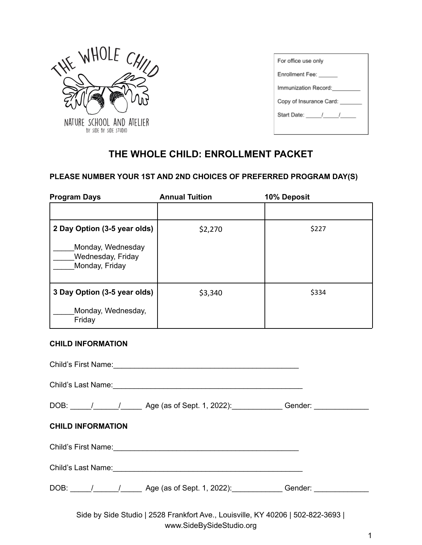

| For office use only     |  |  |
|-------------------------|--|--|
| Enrollment Fee:         |  |  |
| Immunization Record:    |  |  |
| Copy of Insurance Card: |  |  |
| Start Date: / /         |  |  |
|                         |  |  |

# **THE WHOLE CHILD: ENROLLMENT PACKET**

# **PLEASE NUMBER YOUR 1ST AND 2ND CHOICES OF PREFERRED PROGRAM DAY(S)**

| <b>Program Days</b>                                      | <b>Annual Tuition</b> | 10% Deposit |
|----------------------------------------------------------|-----------------------|-------------|
|                                                          |                       |             |
| 2 Day Option (3-5 year olds)                             | \$2,270               | \$227       |
| Monday, Wednesday<br>Wednesday, Friday<br>Monday, Friday |                       |             |
| 3 Day Option (3-5 year olds)                             | \$3,340               | \$334       |
| Monday, Wednesday,<br>Friday                             |                       |             |

#### **CHILD INFORMATION**

| Child's Last Name: 1988 Child's Last Name:                                                                   |
|--------------------------------------------------------------------------------------------------------------|
| DOB: \_____/ _______/ _______ Age (as of Sept. 1, 2022): ______________Gender: ____________________          |
| <b>CHILD INFORMATION</b>                                                                                     |
| Child's First Name:<br><u> Child's First Name:</u>                                                           |
|                                                                                                              |
| DOB: \_____/ ______/ ______ Age (as of Sept. 1, 2022): _____________Gender: ____________                     |
| Side by Side Studio   2528 Frankfort Ave., Louisville, KY 40206   502-822-3693  <br>www.SideBySideStudio.org |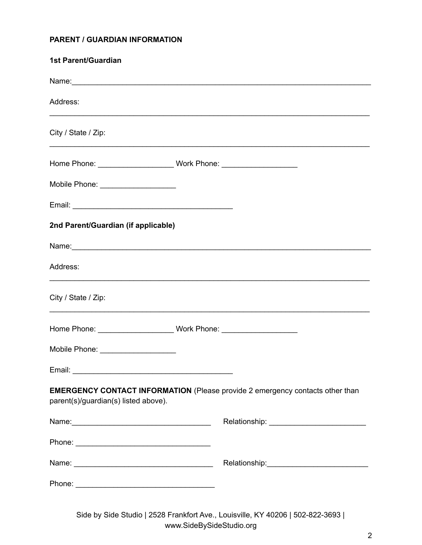# **PARENT / GUARDIAN INFORMATION**

| <b>1st Parent/Guardian</b>                                                                                                   |  |  |
|------------------------------------------------------------------------------------------------------------------------------|--|--|
|                                                                                                                              |  |  |
| Address:                                                                                                                     |  |  |
| City / State / Zip:                                                                                                          |  |  |
|                                                                                                                              |  |  |
| Mobile Phone: ____________________                                                                                           |  |  |
|                                                                                                                              |  |  |
| 2nd Parent/Guardian (if applicable)                                                                                          |  |  |
|                                                                                                                              |  |  |
| Address:                                                                                                                     |  |  |
| City / State / Zip:                                                                                                          |  |  |
|                                                                                                                              |  |  |
| Mobile Phone: ____________________                                                                                           |  |  |
|                                                                                                                              |  |  |
| <b>EMERGENCY CONTACT INFORMATION</b> (Please provide 2 emergency contacts other than<br>parent(s)/guardian(s) listed above). |  |  |
|                                                                                                                              |  |  |
|                                                                                                                              |  |  |
|                                                                                                                              |  |  |
|                                                                                                                              |  |  |

Side by Side Studio | 2528 Frankfort Ave., Louisville, KY 40206 | 502-822-3693 | www.SideBySideStudio.org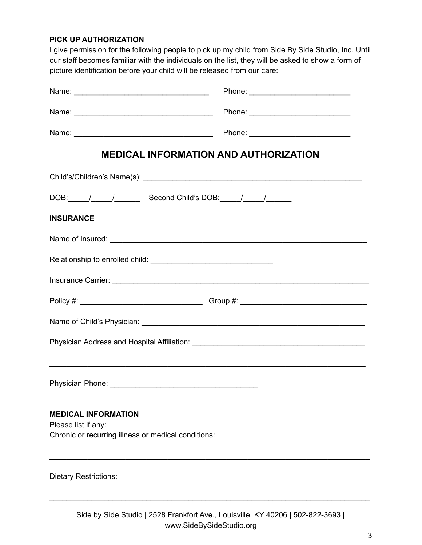### **PICK UP AUTHORIZATION**

I give permission for the following people to pick up my child from Side By Side Studio, Inc. Until our staff becomes familiar with the individuals on the list, they will be asked to show a form of picture identification before your child will be released from our care:

|                                                                                                          | <b>MEDICAL INFORMATION AND AUTHORIZATION</b> |
|----------------------------------------------------------------------------------------------------------|----------------------------------------------|
|                                                                                                          |                                              |
| DOB: / / / Second Child's DOB: / / /                                                                     |                                              |
| <b>INSURANCE</b>                                                                                         |                                              |
|                                                                                                          |                                              |
|                                                                                                          |                                              |
|                                                                                                          |                                              |
|                                                                                                          |                                              |
|                                                                                                          |                                              |
|                                                                                                          |                                              |
|                                                                                                          |                                              |
|                                                                                                          |                                              |
| <b>MEDICAL INFORMATION</b><br>Please list if any:<br>Chronic or recurring illness or medical conditions: |                                              |
| <b>Dietary Restrictions:</b>                                                                             |                                              |

\_\_\_\_\_\_\_\_\_\_\_\_\_\_\_\_\_\_\_\_\_\_\_\_\_\_\_\_\_\_\_\_\_\_\_\_\_\_\_\_\_\_\_\_\_\_\_\_\_\_\_\_\_\_\_\_\_\_\_\_\_\_\_\_\_\_\_\_\_\_\_\_\_\_\_\_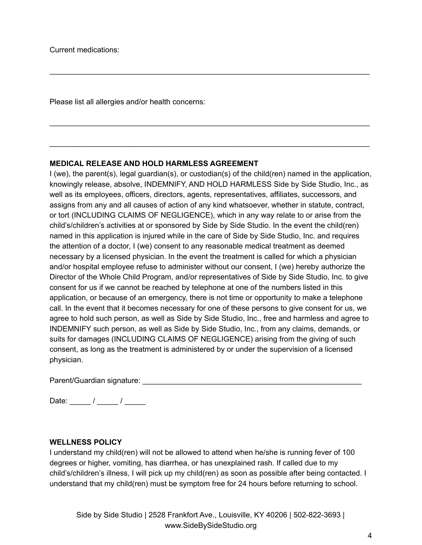Please list all allergies and/or health concerns:

#### **MEDICAL RELEASE AND HOLD HARMLESS AGREEMENT**

I (we), the parent(s), legal guardian(s), or custodian(s) of the child(ren) named in the application, knowingly release, absolve, INDEMNIFY, AND HOLD HARMLESS Side by Side Studio, Inc., as well as its employees, officers, directors, agents, representatives, affiliates, successors, and assigns from any and all causes of action of any kind whatsoever, whether in statute, contract, or tort (INCLUDING CLAIMS OF NEGLIGENCE), which in any way relate to or arise from the child's/children's activities at or sponsored by Side by Side Studio. In the event the child(ren) named in this application is injured while in the care of Side by Side Studio, Inc. and requires the attention of a doctor, I (we) consent to any reasonable medical treatment as deemed necessary by a licensed physician. In the event the treatment is called for which a physician and/or hospital employee refuse to administer without our consent, I (we) hereby authorize the Director of the Whole Child Program, and/or representatives of Side by Side Studio, Inc. to give consent for us if we cannot be reached by telephone at one of the numbers listed in this application, or because of an emergency, there is not time or opportunity to make a telephone call. In the event that it becomes necessary for one of these persons to give consent for us, we agree to hold such person, as well as Side by Side Studio, Inc., free and harmless and agree to INDEMNIFY such person, as well as Side by Side Studio, Inc., from any claims, demands, or suits for damages (INCLUDING CLAIMS OF NEGLIGENCE) arising from the giving of such consent, as long as the treatment is administered by or under the supervision of a licensed physician.

\_\_\_\_\_\_\_\_\_\_\_\_\_\_\_\_\_\_\_\_\_\_\_\_\_\_\_\_\_\_\_\_\_\_\_\_\_\_\_\_\_\_\_\_\_\_\_\_\_\_\_\_\_\_\_\_\_\_\_\_\_\_\_\_\_\_\_\_\_\_\_\_\_\_\_\_

\_\_\_\_\_\_\_\_\_\_\_\_\_\_\_\_\_\_\_\_\_\_\_\_\_\_\_\_\_\_\_\_\_\_\_\_\_\_\_\_\_\_\_\_\_\_\_\_\_\_\_\_\_\_\_\_\_\_\_\_\_\_\_\_\_\_\_\_\_\_\_\_\_\_\_\_

\_\_\_\_\_\_\_\_\_\_\_\_\_\_\_\_\_\_\_\_\_\_\_\_\_\_\_\_\_\_\_\_\_\_\_\_\_\_\_\_\_\_\_\_\_\_\_\_\_\_\_\_\_\_\_\_\_\_\_\_\_\_\_\_\_\_\_\_\_\_\_\_\_\_\_\_

Parent/Guardian signature: \_\_\_\_\_\_\_\_\_\_\_\_\_\_\_\_\_\_\_\_\_\_\_\_\_\_\_\_\_\_\_\_\_\_\_\_\_\_\_\_\_\_\_\_\_\_\_\_\_\_\_\_

Date: \_\_\_\_\_ / \_\_\_\_\_ / \_\_\_\_\_

# **WELLNESS POLICY**

I understand my child(ren) will not be allowed to attend when he/she is running fever of 100 degrees or higher, vomiting, has diarrhea, or has unexplained rash. If called due to my child's/children's illness, I will pick up my child(ren) as soon as possible after being contacted. I understand that my child(ren) must be symptom free for 24 hours before returning to school.